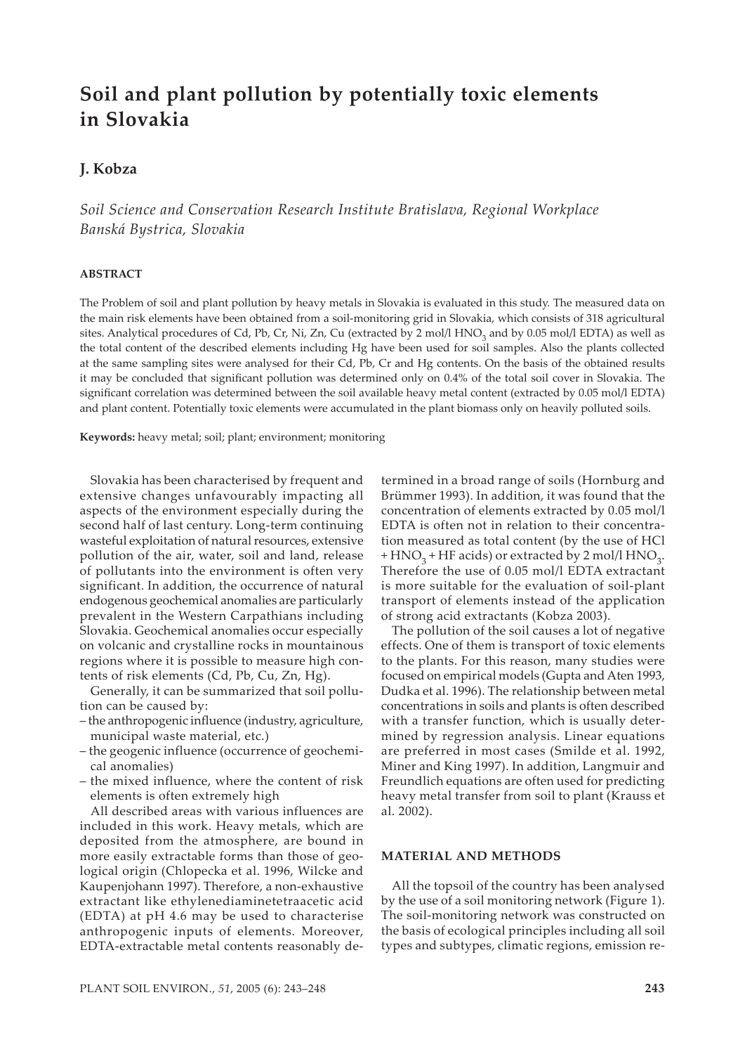# **Soil and plant pollution by potentially toxic elements in Slovakia**

# **J. Kobza**

*Soil Science and Conservation Research Institute Bratislava, Regional Workplace Banská Bystrica, Slovakia*

#### **ABSTRACT**

The Problem of soil and plant pollution by heavy metals in Slovakia is evaluated in this study. The measured data on the main risk elements have been obtained from a soil-monitoring grid in Slovakia, which consists of 318 agricultural sites. Analytical procedures of Cd, Pb, Cr, Ni, Zn, Cu (extracted by 2 mol/l  $\rm HNO_3$  and by 0.05 mol/l EDTA) as well as the total content of the described elements including Hg have been used for soil samples. Also the plants collected at the same sampling sites were analysed for their Cd, Pb, Cr and Hg contents. On the basis of the obtained results it may be concluded that significant pollution was determined only on 0.4% of the total soil cover in Slovakia. The significant correlation was determined between the soil available heavy metal content (extracted by 0.05 mol/l EDTA) and plant content. Potentially toxic elements were accumulated in the plant biomass only on heavily polluted soils.

**Keywords:** heavy metal; soil; plant; environment; monitoring

Slovakia has been characterised by frequent and extensive changes unfavourably impacting all aspects of the environment especially during the second half of last century. Long-term continuing wasteful exploitation of natural resources, extensive pollution of the air, water, soil and land, release of pollutants into the environment is often very significant. In addition, the occurrence of natural endogenous geochemical anomalies are particularly prevalent in the Western Carpathians including Slovakia. Geochemical anomalies occur especially on volcanic and crystalline rocks in mountainous regions where it is possible to measure high contents of risk elements (Cd, Pb, Cu, Zn, Hg).

Generally, it can be summarized that soil pollution can be caused by:

- the anthropogenic influence (industry, agriculture, municipal waste material, etc.)
- the geogenic influence (occurrence of geochemical anomalies)
- the mixed influence, where the content of risk elements is often extremely high

All described areas with various influences are included in this work. Heavy metals, which are deposited from the atmosphere, are bound in more easily extractable forms than those of geological origin (Chlopecka et al. 1996, Wilcke and Kaupenjohann 1997). Therefore, a non-exhaustive extractant like ethylenediaminetetraacetic acid (EDTA) at pH 4.6 may be used to characterise anthropogenic inputs of elements. Moreover, EDTA-extractable metal contents reasonably determined in a broad range of soils (Hornburg and Brümmer 1993). In addition, it was found that the concentration of elements extracted by 0.05 mol/l EDTA is often not in relation to their concentration measured as total content (by the use of HCl  $+$  HNO<sub>3</sub> + HF acids) or extracted by 2 mol/l HNO<sub>3</sub>. Therefore the use of 0.05 mol/l EDTA extractant is more suitable for the evaluation of soil-plant transport of elements instead of the application of strong acid extractants (Kobza 2003).

The pollution of the soil causes a lot of negative effects. One of them is transport of toxic elements to the plants. For this reason, many studies were focused on empirical models (Gupta and Aten 1993, Dudka et al. 1996). The relationship between metal concentrations in soils and plants is often described with a transfer function, which is usually determined by regression analysis. Linear equations are preferred in most cases (Smilde et al. 1992, Miner and King 1997). In addition, Langmuir and Freundlich equations are often used for predicting heavy metal transfer from soil to plant (Krauss et al. 2002).

#### **MATERIAL AND METHODS**

All the topsoil of the country has been analysed by the use of a soil monitoring network (Figure 1). The soil-monitoring network was constructed on the basis of ecological principles including all soil types and subtypes, climatic regions, emission re-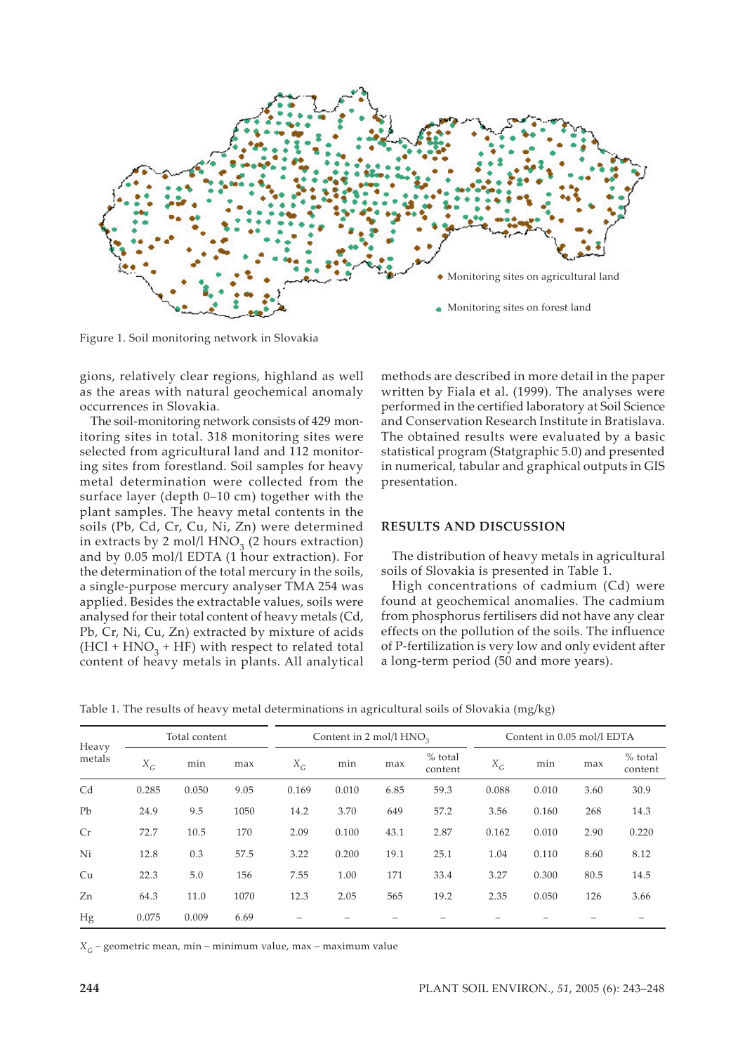

Figure 1. Soil monitoring network in Slovakia

gions, relatively clear regions, highland as well as the areas with natural geochemical anomaly occurrences in Slovakia.

The soil-monitoring network consists of 429 monitoring sites in total. 318 monitoring sites were selected from agricultural land and 112 monitoring sites from forestland. Soil samples for heavy metal determination were collected from the surface layer (depth 0–10 cm) together with the plant samples. The heavy metal contents in the soils (Pb, Cd, Cr, Cu, Ni, Zn) were determined in extracts by 2 mol/l  $HNO<sub>3</sub>$  (2 hours extraction) and by 0.05 mol/l EDTA (1 hour extraction). For the determination of the total mercury in the soils, a single-purpose mercury analyser TMA 254 was applied. Besides the extractable values, soils were analysed for their total content of heavy metals (Cd, Pb, Cr, Ni, Cu, Zn) extracted by mixture of acids  $(HCl + HNO<sub>3</sub> + HF)$  with respect to related total content of heavy metals in plants. All analytical methods are described in more detail in the paper written by Fiala et al. (1999). The analyses were performed in the certified laboratory at Soil Science and Conservation Research Institute in Bratislava. The obtained results were evaluated by a basic statistical program (Statgraphic 5.0) and presented in numerical, tabular and graphical outputs in GIS presentation.

# **RESULTS AND DISCUSSION**

The distribution of heavy metals in agricultural soils of Slovakia is presented in Table 1.

High concentrations of cadmium (Cd) were found at geochemical anomalies. The cadmium from phosphorus fertilisers did not have any clear effects on the pollution of the soils. The influence of P-fertilization is very low and only evident after a long-term period (50 and more years).

Table 1. The results of heavy metal determinations in agricultural soils of Slovakia (mg/kg)

| Heavy<br>metals | Total content |       |      | Content in 2 mol/l HNO <sub>2</sub> |       |      |                    | Content in 0.05 mol/l EDTA |       |      |                    |
|-----------------|---------------|-------|------|-------------------------------------|-------|------|--------------------|----------------------------|-------|------|--------------------|
|                 | $X_G$         | min   | max  | $X_G$                               | min   | max  | % total<br>content | $X_G$                      | min   | max  | % total<br>content |
| C <sub>d</sub>  | 0.285         | 0.050 | 9.05 | 0.169                               | 0.010 | 6.85 | 59.3               | 0.088                      | 0.010 | 3.60 | 30.9               |
| Pb              | 24.9          | 9.5   | 1050 | 14.2                                | 3.70  | 649  | 57.2               | 3.56                       | 0.160 | 268  | 14.3               |
| Cr              | 72.7          | 10.5  | 170  | 2.09                                | 0.100 | 43.1 | 2.87               | 0.162                      | 0.010 | 2.90 | 0.220              |
| Ni              | 12.8          | 0.3   | 57.5 | 3.22                                | 0.200 | 19.1 | 25.1               | 1.04                       | 0.110 | 8.60 | 8.12               |
| Cu              | 22.3          | 5.0   | 156  | 7.55                                | 1.00  | 171  | 33.4               | 3.27                       | 0.300 | 80.5 | 14.5               |
| Zn              | 64.3          | 11.0  | 1070 | 12.3                                | 2.05  | 565  | 19.2               | 2.35                       | 0.050 | 126  | 3.66               |
| Hg              | 0.075         | 0.009 | 6.69 |                                     |       |      |                    |                            |       |      |                    |

*XG* – geometric mean, min – minimum value, max – maximum value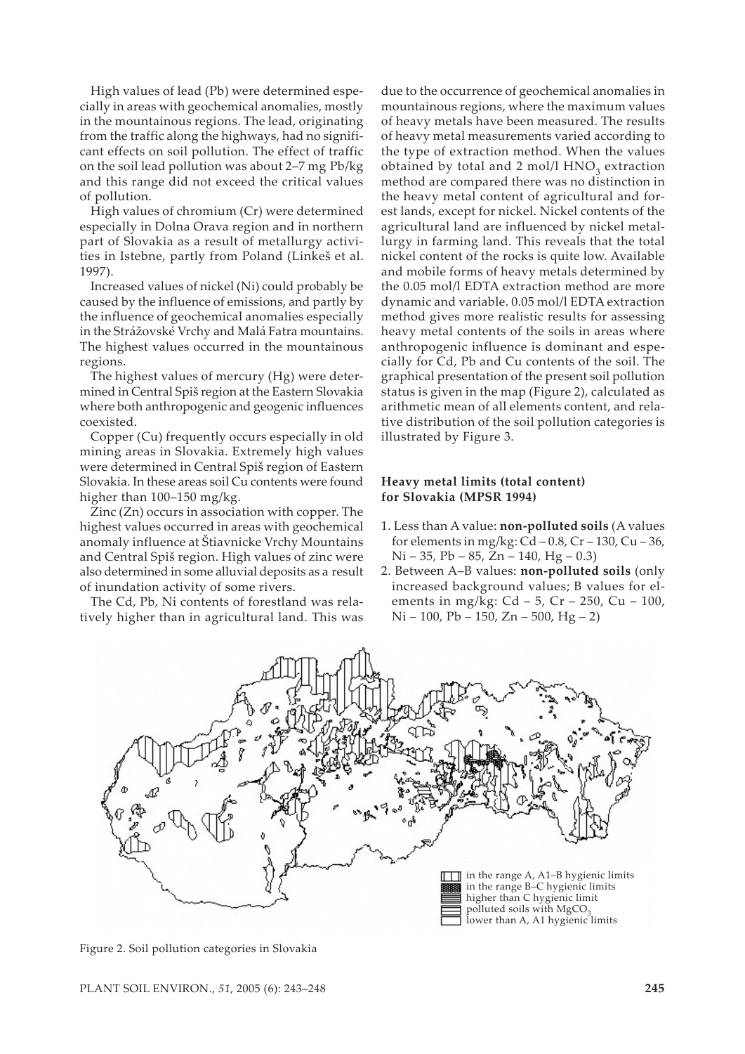High values of lead (Pb) were determined especially in areas with geochemical anomalies, mostly in the mountainous regions. The lead, originating from the traffic along the highways, had no significant effects on soil pollution. The effect of traffic on the soil lead pollution was about 2–7 mg Pb/kg and this range did not exceed the critical values of pollution.

High values of chromium (Cr) were determined especially in Dolna Orava region and in northern part of Slovakia as a result of metallurgy activities in Istebne, partly from Poland (Linkeš et al. 1997).

Increased values of nickel (Ni) could probably be caused by the influence of emissions, and partly by the influence of geochemical anomalies especially in the Strážovské Vrchy and Malá Fatra mountains. The highest values occurred in the mountainous regions.

The highest values of mercury (Hg) were determined in Central Spiš region at the Eastern Slovakia where both anthropogenic and geogenic influences coexisted.

Copper (Cu) frequently occurs especially in old mining areas in Slovakia. Extremely high values were determined in Central Spiš region of Eastern Slovakia. In these areas soil Cu contents were found higher than 100–150 mg/kg.

Zinc (Zn) occurs in association with copper. The highest values occurred in areas with geochemical anomaly influence at Štiavnicke Vrchy Mountains and Central Spiš region. High values of zinc were also determined in some alluvial deposits as a result of inundation activity of some rivers.

The Cd, Pb, Ni contents of forestland was relatively higher than in agricultural land. This was

due to the occurrence of geochemical anomalies in mountainous regions, where the maximum values of heavy metals have been measured. The results of heavy metal measurements varied according to the type of extraction method. When the values obtained by total and 2 mol/l  $HNO<sub>3</sub>$  extraction method are compared there was no distinction in the heavy metal content of agricultural and forest lands, except for nickel. Nickel contents of the agricultural land are influenced by nickel metallurgy in farming land. This reveals that the total nickel content of the rocks is quite low. Available and mobile forms of heavy metals determined by the 0.05 mol/l EDTA extraction method are more dynamic and variable. 0.05 mol/l EDTA extraction method gives more realistic results for assessing heavy metal contents of the soils in areas where anthropogenic influence is dominant and especially for Cd, Pb and Cu contents of the soil. The graphical presentation of the present soil pollution status is given in the map (Figure 2), calculated as arithmetic mean of all elements content, and relative distribution of the soil pollution categories is illustrated by Figure 3.

# **Heavy metal limits (total content) for Slovakia (MPSR 1994)**

- 1. Less than A value: **non-polluted soils** (A values for elements in mg/kg:  $Cd - 0.8$ ,  $Cr - 130$ ,  $Cu - 36$ ,  $Ni - 35$ ,  $Pb - 85$ ,  $Zn - 140$ ,  $Hg - 0.3$ )
- 2. Between A–B values: **non-polluted soils** (only increased background values; B values for elements in mg/kg:  $Cd - 5$ ,  $Cr - 250$ ,  $Cu - 100$ , Ni – 100, Pb – 150, Zn – 500, Hg – 2)



Figure 2. Soil pollution categories in Slovakia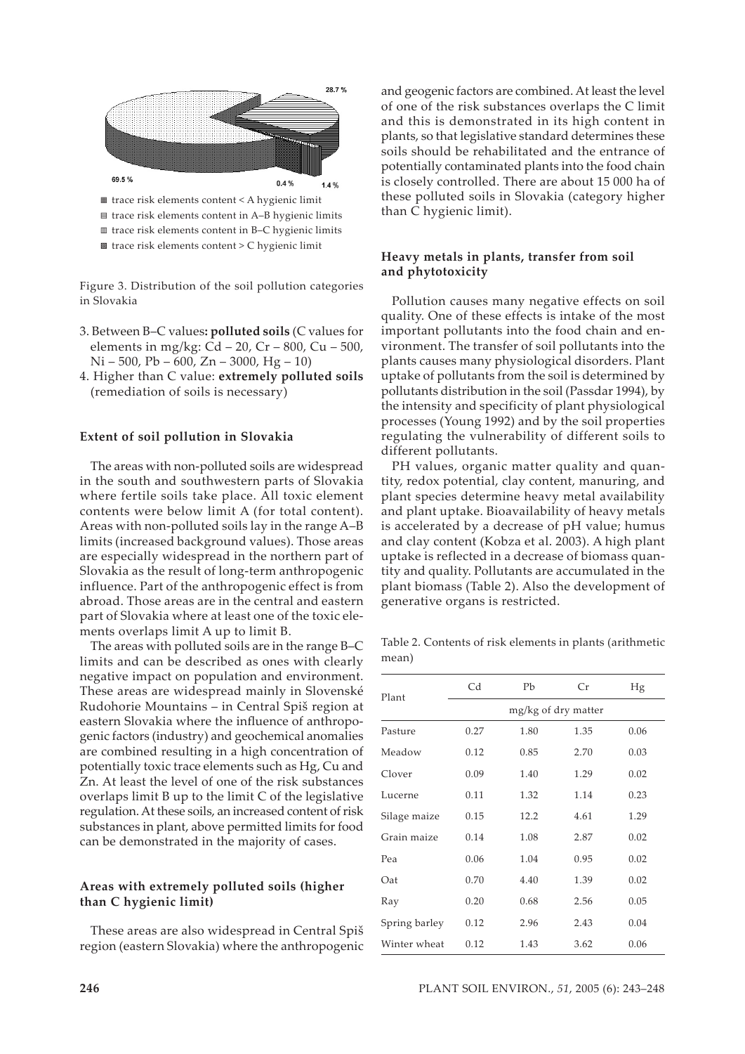

- ▥ trace risk elements content in B–C hygienic limits
- ▩ trace risk elements content > C hygienic limit
- 

Figure 3. Distribution of the soil pollution categories in Slovakia

- 3. Between B–C values**: polluted soils** (C values for elements in mg/kg:  $Cd - 20$ ,  $Cr - 800$ ,  $Cu - 500$ , Ni – 500, Pb – 600, Zn – 3000, Hg – 10)
- 4. Higher than C value: **extremely polluted soils**  (remediation of soils is necessary)

#### **Extent of soil pollution in Slovakia**

The areas with non-polluted soils are widespread in the south and southwestern parts of Slovakia where fertile soils take place. All toxic element contents were below limit A (for total content). Areas with non-polluted soils lay in the range A–B limits (increased background values). Those areas are especially widespread in the northern part of Slovakia as the result of long-term anthropogenic influence. Part of the anthropogenic effect is from abroad. Those areas are in the central and eastern part of Slovakia where at least one of the toxic elements overlaps limit A up to limit B.

The areas with polluted soils are in the range B–C limits and can be described as ones with clearly negative impact on population and environment. These areas are widespread mainly in Slovenské Rudohorie Mountains – in Central Spiš region at eastern Slovakia where the influence of anthropogenic factors (industry) and geochemical anomalies are combined resulting in a high concentration of potentially toxic trace elements such as Hg, Cu and Zn. At least the level of one of the risk substances overlaps limit B up to the limit C of the legislative regulation. At these soils, an increased content of risk substances in plant, above permi�ed limits for food can be demonstrated in the majority of cases.

# **Areas with extremely polluted soils (higher than C hygienic limit)**

These areas are also widespread in Central Spiš region (eastern Slovakia) where the anthropogenic

and geogenic factors are combined. At least the level of one of the risk substances overlaps the C limit and this is demonstrated in its high content in plants, so that legislative standard determines these soils should be rehabilitated and the entrance of potentially contaminated plants into the food chain is closely controlled. There are about 15 000 ha of these polluted soils in Slovakia (category higher than C hygienic limit).

# **Heavy metals in plants, transfer from soil and phytotoxicity**

Pollution causes many negative effects on soil quality. One of these effects is intake of the most important pollutants into the food chain and environment. The transfer of soil pollutants into the plants causes many physiological disorders. Plant uptake of pollutants from the soil is determined by pollutants distribution in the soil (Passdar 1994), by the intensity and specificity of plant physiological processes (Young 1992) and by the soil properties regulating the vulnerability of different soils to different pollutants.

PH values, organic matter quality and quantity, redox potential, clay content, manuring, and plant species determine heavy metal availability and plant uptake. Bioavailability of heavy metals is accelerated by a decrease of pH value; humus and clay content (Kobza et al. 2003). A high plant uptake is reflected in a decrease of biomass quantity and quality. Pollutants are accumulated in the plant biomass (Table 2). Also the development of generative organs is restricted.

Table 2. Contents of risk elements in plants (arithmetic mean)

| Plant         | C <sub>d</sub>      | Pb   | Cr   | Hg   |  |  |
|---------------|---------------------|------|------|------|--|--|
|               | mg/kg of dry matter |      |      |      |  |  |
| Pasture       | 0.27                | 1.80 | 1.35 | 0.06 |  |  |
| Meadow        | 0.12                | 0.85 | 2.70 | 0.03 |  |  |
| Clover        | 0.09                | 1.40 | 1.29 | 0.02 |  |  |
| Lucerne       | 0.11                | 1.32 | 1.14 | 0.23 |  |  |
| Silage maize  | 0.15                | 12.2 | 4.61 | 1.29 |  |  |
| Grain maize   | 0.14                | 1.08 | 2.87 | 0.02 |  |  |
| Pea           | 0.06                | 1.04 | 0.95 | 0.02 |  |  |
| Oat           | 0.70                | 4.40 | 1.39 | 0.02 |  |  |
| Ray           | 0.20                | 0.68 | 2.56 | 0.05 |  |  |
| Spring barley | 0.12                | 2.96 | 2.43 | 0.04 |  |  |
| Winter wheat  | 0.12                | 1.43 | 3.62 | 0.06 |  |  |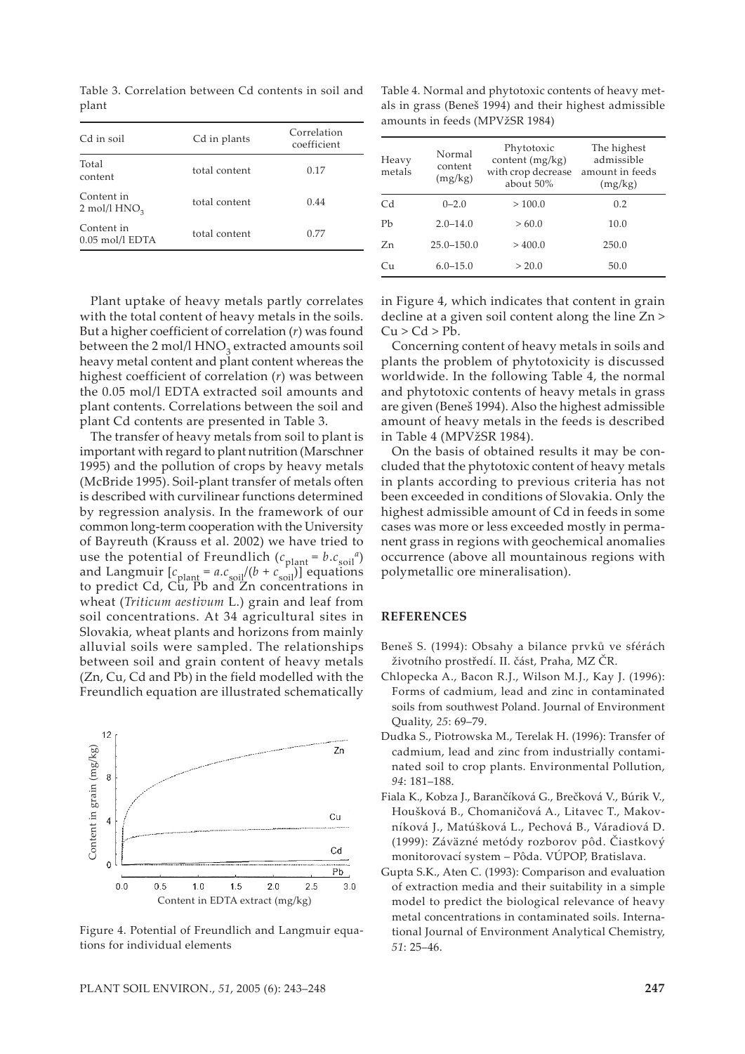Table 3. Correlation between Cd contents in soil and plant

| Cd in soil                      | Cd in plants  | Correlation<br>coefficient |  |  |
|---------------------------------|---------------|----------------------------|--|--|
| Total<br>content                | total content | 0.17                       |  |  |
| Content in<br>2 mol/l $HNO3$    | total content | 0.44                       |  |  |
| Content in<br>$0.05$ mol/l EDTA | total content | 0.77                       |  |  |

Table 4. Normal and phytotoxic contents of heavy metals in grass (Beneš 1994) and their highest admissible amounts in feeds (MPVžSR 1984)

| Heavy<br>metals | Normal<br>content<br>(mg/kg) | Phytotoxic<br>content $(mg/kg)$<br>with crop decrease<br>about 50% | The highest<br>admissible<br>amount in feeds<br>(mg/kg) |
|-----------------|------------------------------|--------------------------------------------------------------------|---------------------------------------------------------|
| Cd              | $0 - 2.0$                    | >100.0                                                             | 0.2                                                     |
| Pb              | $2.0 - 14.0$                 | >60.0                                                              | 10.0                                                    |
| 7 <sub>n</sub>  | $25.0 - 150.0$               | >400.0                                                             | 250.0                                                   |
| Cu              | $6.0 - 15.0$                 | > 20.0                                                             | 50.0                                                    |

Plant uptake of heavy metals partly correlates with the total content of heavy metals in the soils. But a higher coefficient of correlation (*r*) was found between the 2 mol/l  $HNO<sub>2</sub>$  extracted amounts soil heavy metal content and plant content whereas the highest coefficient of correlation (*r*) was between the 0.05 mol/l EDTA extracted soil amounts and plant contents. Correlations between the soil and plant Cd contents are presented in Table 3.

The transfer of heavy metals from soil to plant is important with regard to plant nutrition (Marschner 1995) and the pollution of crops by heavy metals (McBride 1995). Soil-plant transfer of metals often is described with curvilinear functions determined by regression analysis. In the framework of our common long-term cooperation with the University of Bayreuth (Krauss et al. 2002) we have tried to use the potential of Freundlich  $(c_{\text{plant}} = b.c_{\text{soil}}^a)$ and Langmuir  $[c_{\text{plant}} = a.c_{\text{soil}}/(b + c_{\text{soil}})]$  equations to predict Cd, Cu, Pb and Zn concentrations in wheat (*Triticum aestivum* L.) grain and leaf from soil concentrations. At 34 agricultural sites in Slovakia, wheat plants and horizons from mainly alluvial soils were sampled. The relationships between soil and grain content of heavy metals (Zn, Cu, Cd and Pb) in the field modelled with the Freundlich equation are illustrated schematically



Figure 4. Potential of Freundlich and Langmuir equa-

in Figure 4, which indicates that content in grain decline at a given soil content along the line Zn >  $Cu > Cd > Pb$ .

Concerning content of heavy metals in soils and plants the problem of phytotoxicity is discussed worldwide. In the following Table 4, the normal and phytotoxic contents of heavy metals in grass are given (Beneš 1994). Also the highest admissible amount of heavy metals in the feeds is described in Table 4 (MPVžSR 1984).

On the basis of obtained results it may be concluded that the phytotoxic content of heavy metals in plants according to previous criteria has not been exceeded in conditions of Slovakia. Only the highest admissible amount of Cd in feeds in some cases was more or less exceeded mostly in permanent grass in regions with geochemical anomalies occurrence (above all mountainous regions with polymetallic ore mineralisation).

#### **REFERENCES**

- Beneš S. (1994): Obsahy a bilance prvků ve sférách životního prostředí. II. část, Praha, MZ ČR.
- Chlopecka A., Bacon R.J., Wilson M.J., Kay J. (1996): Forms of cadmium, lead and zinc in contaminated soils from southwest Poland. Journal of Environment Quality, *25*: 69–79.
- Dudka S., Piotrowska M., Terelak H. (1996): Transfer of cadmium, lead and zinc from industrially contaminated soil to crop plants. Environmental Pollution, *94*: 181–188.
- Fiala K., Kobza J., Barančíková G., Brečková V., Búrik V., Houšková B., Chomaničová A., Litavec T., Makovníková J., Matúšková L., Pechová B., Váradiová D. (1999): Záväzné metódy rozborov pôd. Čiastkový monitorovací system – Pôda. VÚPOP, Bratislava.
- Gupta S.K., Aten C. (1993): Comparison and evaluation of extraction media and their suitability in a simple model to predict the biological relevance of heavy metal concentrations in contaminated soils. International Journal of Environment Analytical Chemistry, *51*: 25–46.